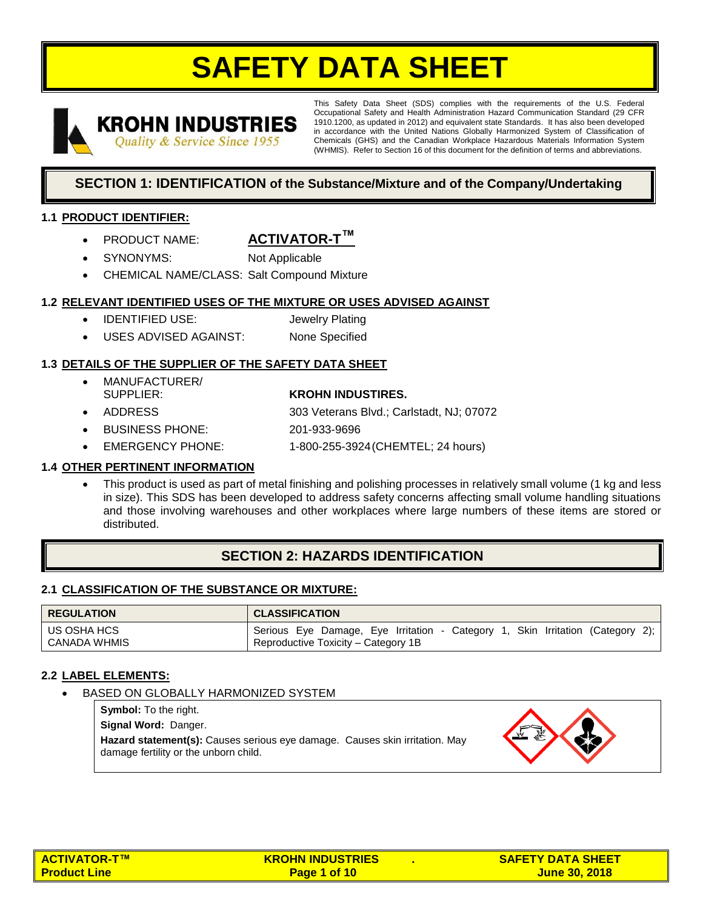# **SAFETY DATA SHEET**



This Safety Data Sheet (SDS) complies with the requirements of the U.S. Federal Occupational Safety and Health Administration Hazard Communication Standard (29 CFR 1910.1200, as updated in 2012) and equivalent state Standards. It has also been developed in accordance with the United Nations Globally Harmonized System of Classification of Chemicals (GHS) and the Canadian Workplace Hazardous Materials Information System (WHMIS). Refer to Section 16 of this document for the definition of terms and abbreviations.

# **SECTION 1: IDENTIFICATION of the Substance/Mixture and of the Company/Undertaking**

## **1.1 PRODUCT IDENTIFIER:**

- **PRODUCT NAME: ACTIVATOR-T™**
- SYNONYMS: Not Applicable
- CHEMICAL NAME/CLASS: Salt Compound Mixture

## **1.2 RELEVANT IDENTIFIED USES OF THE MIXTURE OR USES ADVISED AGAINST**

- IDENTIFIED USE: Jewelry Plating
- USES ADVISED AGAINST: None Specified

## **1.3 DETAILS OF THE SUPPLIER OF THE SAFETY DATA SHEET**

- MANUFACTURER/
- 
- SUPPLIER: **KROHN INDUSTIRES.**
	- ADDRESS 303 Veterans Blvd.; Carlstadt, NJ; 07072
- BUSINESS PHONE: 201-933-9696
- EMERGENCY PHONE: 1-800-255-3924(CHEMTEL; 24 hours)

## **1.4 OTHER PERTINENT INFORMATION**

• This product is used as part of metal finishing and polishing processes in relatively small volume (1 kg and less in size). This SDS has been developed to address safety concerns affecting small volume handling situations and those involving warehouses and other workplaces where large numbers of these items are stored or distributed.

# **SECTION 2: HAZARDS IDENTIFICATION**

## **2.1 CLASSIFICATION OF THE SUBSTANCE OR MIXTURE:**

| <b>REGULATION</b>           | <b>CLASSIFICATION</b>                                                                                                    |
|-----------------------------|--------------------------------------------------------------------------------------------------------------------------|
| US OSHA HCS<br>CANADA WHMIS | i, Skin Irritation (Category 2);<br>Serious Eye Damage, Eye Irritation - Category<br>Reproductive Toxicity – Category 1B |

## **2.2 LABEL ELEMENTS:**

BASED ON GLOBALLY HARMONIZED SYSTEM

**Symbol:** To the right.

**Signal Word:** Danger.

**Hazard statement(s):** Causes serious eye damage.Causes skin irritation. May damage fertility or the unborn child.



| <mark>I ACTIVATOR-T™</mark> | <b>KROHN INDUSTRIES</b> | <b>SAFETY DATA SHEET</b> |
|-----------------------------|-------------------------|--------------------------|
| <u>l Product Line </u>      | Page 1 of 10            | <u>June 30, 2018.</u>    |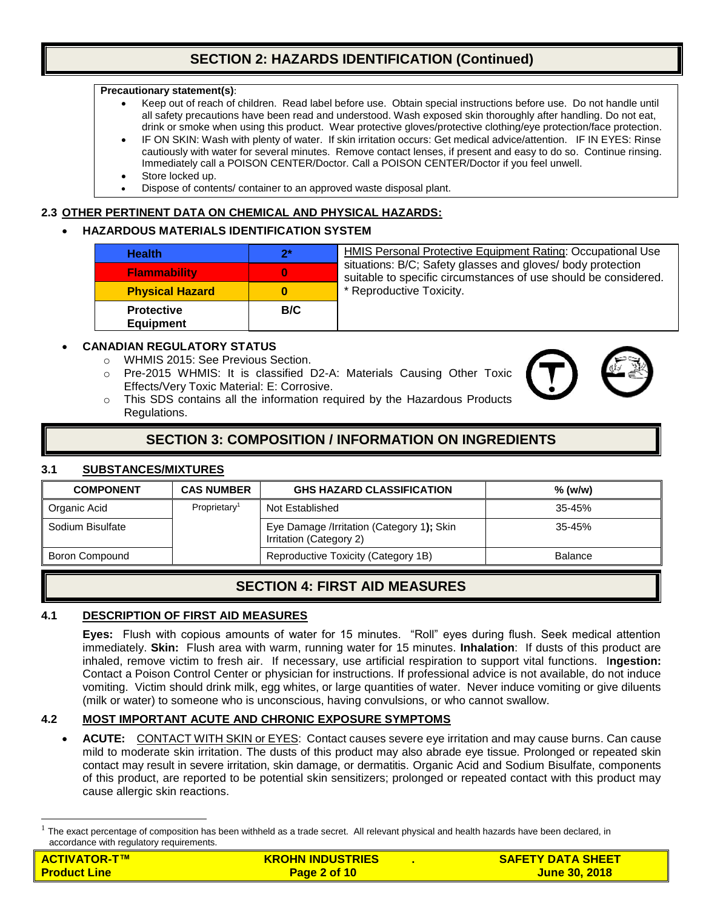# **SECTION 2: HAZARDS IDENTIFICATION (Continued)**

#### **Precautionary statement(s)**:

- Keep out of reach of children. Read label before use. Obtain special instructions before use. Do not handle until all safety precautions have been read and understood. Wash exposed skin thoroughly after handling. Do not eat, drink or smoke when using this product. Wear protective gloves/protective clothing/eye protection/face protection.
- IF ON SKIN: Wash with plenty of water. If skin irritation occurs: Get medical advice/attention. IF IN EYES: Rinse cautiously with water for several minutes. Remove contact lenses, if present and easy to do so. Continue rinsing. Immediately call a POISON CENTER/Doctor. Call a POISON CENTER/Doctor if you feel unwell.
- Store locked up.
- Dispose of contents/ container to an approved waste disposal plant.

#### **2.3 OTHER PERTINENT DATA ON CHEMICAL AND PHYSICAL HAZARDS:**

#### • **HAZARDOUS MATERIALS IDENTIFICATION SYSTEM**

| <b>Health</b>                         | $2^*$ | HMIS Personal Protective Equipment Rating: Occupational Use                                                                    |
|---------------------------------------|-------|--------------------------------------------------------------------------------------------------------------------------------|
| <b>Flammability</b>                   | 0     | situations: B/C; Safety glasses and gloves/ body protection<br>suitable to specific circumstances of use should be considered. |
| <b>Physical Hazard</b>                | 0     | * Reproductive Toxicity.                                                                                                       |
| <b>Protective</b><br><b>Equipment</b> | B/C   |                                                                                                                                |

## • **CANADIAN REGULATORY STATUS**

- o WHMIS 2015: See Previous Section.
- o Pre-2015 WHMIS: It is classified D2-A: Materials Causing Other Toxic Effects/Very Toxic Material: E: Corrosive.



 $\circ$  This SDS contains all the information required by the Hazardous Products Regulations.

# **SECTION 3: COMPOSITION / INFORMATION ON INGREDIENTS**

## **3.1 SUBSTANCES/MIXTURES**

 $\overline{a}$ 

| <b>COMPONENT</b> | <b>CAS NUMBER</b>        | <b>GHS HAZARD CLASSIFICATION</b>                                     | $%$ (w/w)      |
|------------------|--------------------------|----------------------------------------------------------------------|----------------|
| Organic Acid     | Proprietarv <sup>1</sup> | Not Established                                                      | $35 - 45%$     |
| Sodium Bisulfate |                          | Eye Damage /Irritation (Category 1); Skin<br>Irritation (Category 2) | $35 - 45%$     |
| Boron Compound   |                          | Reproductive Toxicity (Category 1B)                                  | <b>Balance</b> |

# **SECTION 4: FIRST AID MEASURES**

#### **4.1 DESCRIPTION OF FIRST AID MEASURES**

**Eyes:** Flush with copious amounts of water for 15 minutes. "Roll" eyes during flush. Seek medical attention immediately. **Skin:** Flush area with warm, running water for 15 minutes. **Inhalation**: If dusts of this product are inhaled, remove victim to fresh air. If necessary, use artificial respiration to support vital functions. I**ngestion:**  Contact a Poison Control Center or physician for instructions. If professional advice is not available, do not induce vomiting. Victim should drink milk, egg whites, or large quantities of water. Never induce vomiting or give diluents (milk or water) to someone who is unconscious, having convulsions, or who cannot swallow.

## **4.2 MOST IMPORTANT ACUTE AND CHRONIC EXPOSURE SYMPTOMS**

• **ACUTE:** CONTACT WITH SKIN or EYES: Contact causes severe eye irritation and may cause burns. Can cause mild to moderate skin irritation. The dusts of this product may also abrade eye tissue. Prolonged or repeated skin contact may result in severe irritation, skin damage, or dermatitis. Organic Acid and Sodium Bisulfate, components of this product, are reported to be potential skin sensitizers; prolonged or repeated contact with this product may cause allergic skin reactions.

| <b>ACTIVATOR-T™</b> | <b>KROHN INDUSTRIES</b> | <b>SAFETY DATA SHEET</b> |
|---------------------|-------------------------|--------------------------|
| <b>Product Line</b> | Page 2 of 10            | <b>June 30, 2018</b>     |

<sup>1</sup> The exact percentage of composition has been withheld as a trade secret. All relevant physical and health hazards have been declared, in accordance with regulatory requirements.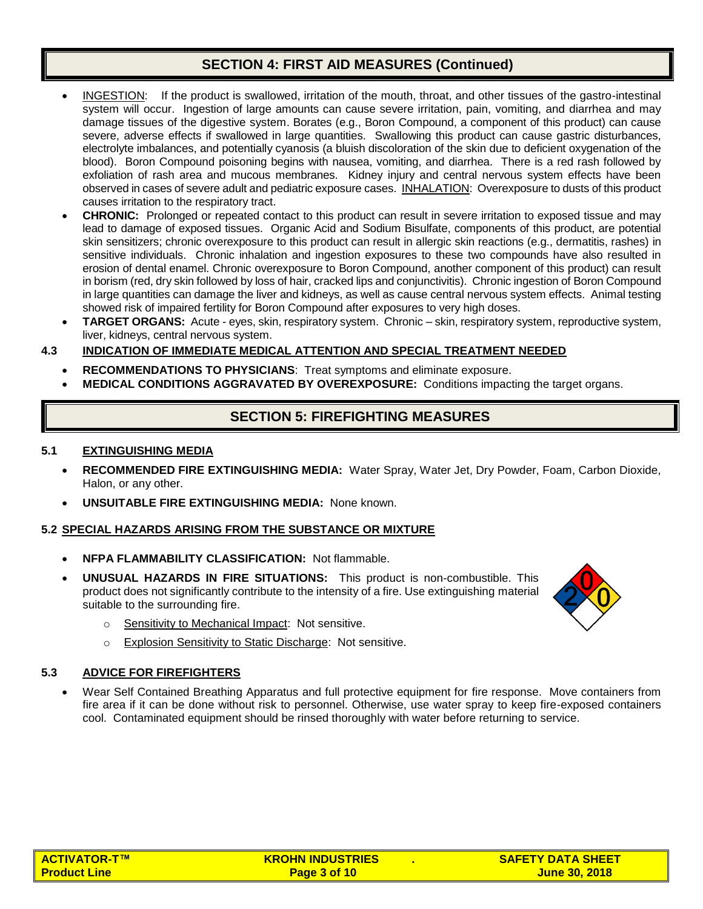# **SECTION 4: FIRST AID MEASURES (Continued)**

- INGESTION: If the product is swallowed, irritation of the mouth, throat, and other tissues of the gastro-intestinal system will occur. Ingestion of large amounts can cause severe irritation, pain, vomiting, and diarrhea and may damage tissues of the digestive system. Borates (e.g., Boron Compound, a component of this product) can cause severe, adverse effects if swallowed in large quantities. Swallowing this product can cause gastric disturbances, electrolyte imbalances, and potentially cyanosis (a bluish discoloration of the skin due to deficient oxygenation of the blood). Boron Compound poisoning begins with nausea, vomiting, and diarrhea. There is a red rash followed by exfoliation of rash area and mucous membranes. Kidney injury and central nervous system effects have been observed in cases of severe adult and pediatric exposure cases. INHALATION: Overexposure to dusts of this product causes irritation to the respiratory tract.
- **CHRONIC:** Prolonged or repeated contact to this product can result in severe irritation to exposed tissue and may lead to damage of exposed tissues. Organic Acid and Sodium Bisulfate, components of this product, are potential skin sensitizers; chronic overexposure to this product can result in allergic skin reactions (e.g., dermatitis, rashes) in sensitive individuals. Chronic inhalation and ingestion exposures to these two compounds have also resulted in erosion of dental enamel. Chronic overexposure to Boron Compound, another component of this product) can result in borism (red, dry skin followed by loss of hair, cracked lips and conjunctivitis). Chronic ingestion of Boron Compound in large quantities can damage the liver and kidneys, as well as cause central nervous system effects. Animal testing showed risk of impaired fertility for Boron Compound after exposures to very high doses.
- **TARGET ORGANS:** Acute eyes, skin, respiratory system. Chronic skin, respiratory system, reproductive system, liver, kidneys, central nervous system.

## **4.3 INDICATION OF IMMEDIATE MEDICAL ATTENTION AND SPECIAL TREATMENT NEEDED**

- **RECOMMENDATIONS TO PHYSICIANS**: Treat symptoms and eliminate exposure.
- **MEDICAL CONDITIONS AGGRAVATED BY OVEREXPOSURE:** Conditions impacting the target organs.

# **SECTION 5: FIREFIGHTING MEASURES**

#### **5.1 EXTINGUISHING MEDIA**

- **RECOMMENDED FIRE EXTINGUISHING MEDIA:** Water Spray, Water Jet, Dry Powder, Foam, Carbon Dioxide, Halon, or any other.
- **UNSUITABLE FIRE EXTINGUISHING MEDIA:** None known.

#### **5.2 SPECIAL HAZARDS ARISING FROM THE SUBSTANCE OR MIXTURE**

- **NFPA FLAMMABILITY CLASSIFICATION:** Not flammable.
- **UNUSUAL HAZARDS IN FIRE SITUATIONS:** This product is non-combustible. This product does not significantly contribute to the intensity of a fire. Use extinguishing material suitable to the surrounding fire.
	- o Sensitivity to Mechanical Impact: Not sensitive.
	- o Explosion Sensitivity to Static Discharge: Not sensitive.

#### **5.3 ADVICE FOR FIREFIGHTERS**

• Wear Self Contained Breathing Apparatus and full protective equipment for fire response. Move containers from fire area if it can be done without risk to personnel. Otherwise, use water spray to keep fire-exposed containers cool. Contaminated equipment should be rinsed thoroughly with water before returning to service.

| ACTIVATOR-T™        | <b>KROHN INDUSTRIES</b> | <b>SAFETY DATA SHEET</b> |
|---------------------|-------------------------|--------------------------|
| <b>Product Line</b> | Page 3 of 10            | <u>June 30, 2018</u>     |

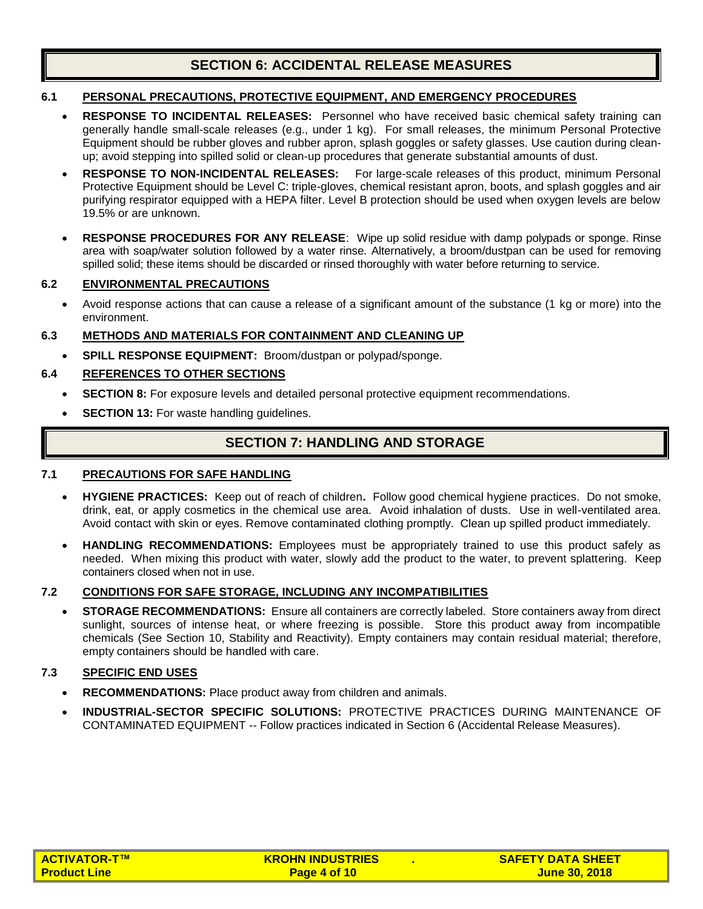# **SECTION 6: ACCIDENTAL RELEASE MEASURES**

#### **6.1 PERSONAL PRECAUTIONS, PROTECTIVE EQUIPMENT, AND EMERGENCY PROCEDURES**

- **RESPONSE TO INCIDENTAL RELEASES:** Personnel who have received basic chemical safety training can generally handle small-scale releases (e.g., under 1 kg).For small releases, the minimum Personal Protective Equipment should be rubber gloves and rubber apron, splash goggles or safety glasses. Use caution during cleanup; avoid stepping into spilled solid or clean-up procedures that generate substantial amounts of dust.
- **RESPONSE TO NON-INCIDENTAL RELEASES:** For large-scale releases of this product, minimum Personal Protective Equipment should be Level C: triple-gloves, chemical resistant apron, boots, and splash goggles and air purifying respirator equipped with a HEPA filter. Level B protection should be used when oxygen levels are below 19.5% or are unknown.
- **RESPONSE PROCEDURES FOR ANY RELEASE**: Wipe up solid residue with damp polypads or sponge. Rinse area with soap/water solution followed by a water rinse. Alternatively, a broom/dustpan can be used for removing spilled solid; these items should be discarded or rinsed thoroughly with water before returning to service.

## **6.2 ENVIRONMENTAL PRECAUTIONS**

• Avoid response actions that can cause a release of a significant amount of the substance (1 kg or more) into the environment.

#### **6.3 METHODS AND MATERIALS FOR CONTAINMENT AND CLEANING UP**

• **SPILL RESPONSE EQUIPMENT:** Broom/dustpan or polypad/sponge.

## **6.4 REFERENCES TO OTHER SECTIONS**

- **SECTION 8:** For exposure levels and detailed personal protective equipment recommendations.
- **SECTION 13:** For waste handling guidelines.

# **SECTION 7: HANDLING AND STORAGE**

#### **7.1 PRECAUTIONS FOR SAFE HANDLING**

- **HYGIENE PRACTICES:** Keep out of reach of children**.** Follow good chemical hygiene practices.Do not smoke, drink, eat, or apply cosmetics in the chemical use area. Avoid inhalation of dusts. Use in well-ventilated area. Avoid contact with skin or eyes. Remove contaminated clothing promptly. Clean up spilled product immediately.
- **HANDLING RECOMMENDATIONS:** Employees must be appropriately trained to use this product safely as needed.When mixing this product with water, slowly add the product to the water, to prevent splattering.Keep containers closed when not in use.

## **7.2 CONDITIONS FOR SAFE STORAGE, INCLUDING ANY INCOMPATIBILITIES**

• **STORAGE RECOMMENDATIONS:** Ensure all containers are correctly labeled. Store containers away from direct sunlight, sources of intense heat, or where freezing is possible. Store this product away from incompatible chemicals (See Section 10, Stability and Reactivity). Empty containers may contain residual material; therefore, empty containers should be handled with care.

#### **7.3 SPECIFIC END USES**

- **RECOMMENDATIONS:** Place product away from children and animals.
- **INDUSTRIAL-SECTOR SPECIFIC SOLUTIONS:** PROTECTIVE PRACTICES DURING MAINTENANCE OF CONTAMINATED EQUIPMENT -- Follow practices indicated in Section 6 (Accidental Release Measures).

| <b>ACTIVATOR-T™</b> | <b>KROHN INDUSTRIES</b> | <b>SAFETY DATA SHEET</b> |
|---------------------|-------------------------|--------------------------|
| <b>Product Line</b> | Page 4 of 10            | <u>June 30, 2018</u>     |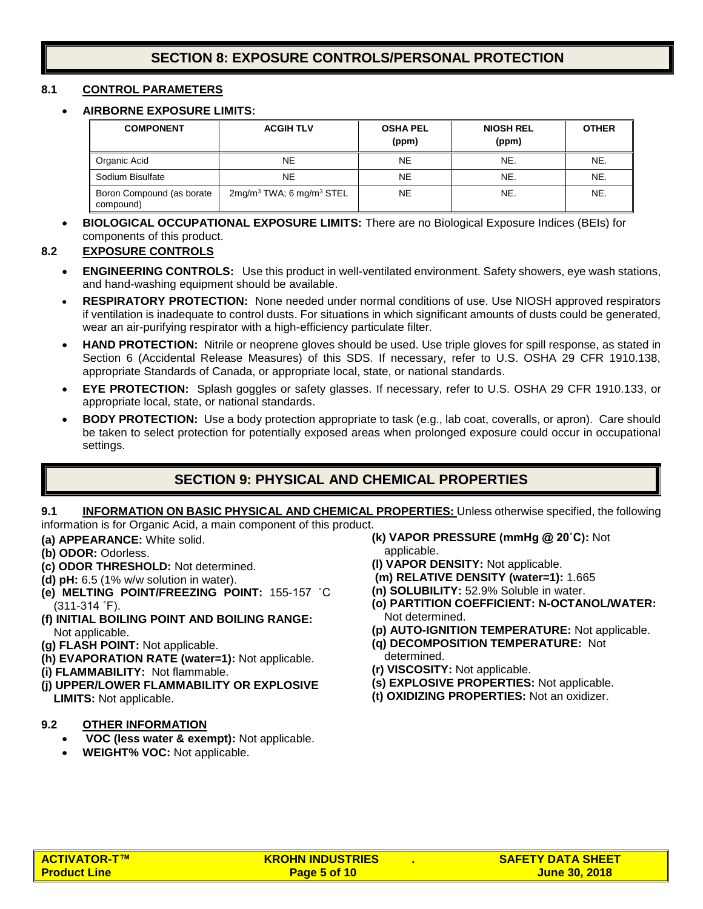# **SECTION 8: EXPOSURE CONTROLS/PERSONAL PROTECTION**

#### **8.1 CONTROL PARAMETERS**

#### • **AIRBORNE EXPOSURE LIMITS:**

| <b>COMPONENT</b>                       | <b>ACGIH TLV</b>                        | <b>OSHA PEL</b><br>(ppm) | <b>NIOSH REL</b><br>(ppm) | <b>OTHER</b> |
|----------------------------------------|-----------------------------------------|--------------------------|---------------------------|--------------|
| Organic Acid                           | <b>NE</b>                               | NE.                      | NE.                       | NE.          |
| Sodium Bisulfate                       | NE.                                     | NE.                      | NE.                       | NE.          |
| Boron Compound (as borate<br>compound) | $2mg/m3 TWA$ ; 6 mg/m <sup>3</sup> STEL | NE.                      | NE.                       | NE.          |

• **BIOLOGICAL OCCUPATIONAL EXPOSURE LIMITS:** There are no Biological Exposure Indices (BEIs) for components of this product.

#### **8.2 EXPOSURE CONTROLS**

- **ENGINEERING CONTROLS:** Use this product in well-ventilated environment. Safety showers, eye wash stations, and hand-washing equipment should be available.
- **RESPIRATORY PROTECTION:** None needed under normal conditions of use. Use NIOSH approved respirators if ventilation is inadequate to control dusts. For situations in which significant amounts of dusts could be generated, wear an air-purifying respirator with a high-efficiency particulate filter.
- **HAND PROTECTION:** Nitrile or neoprene gloves should be used. Use triple gloves for spill response, as stated in Section 6 (Accidental Release Measures) of this SDS. If necessary, refer to U.S. OSHA 29 CFR 1910.138, appropriate Standards of Canada, or appropriate local, state, or national standards.
- **EYE PROTECTION:** Splash goggles or safety glasses. If necessary, refer to U.S. OSHA 29 CFR 1910.133, or appropriate local, state, or national standards.
- **BODY PROTECTION:** Use a body protection appropriate to task (e.g., lab coat, coveralls, or apron). Care should be taken to select protection for potentially exposed areas when prolonged exposure could occur in occupational settings.

# **SECTION 9: PHYSICAL AND CHEMICAL PROPERTIES**

#### **9.1 INFORMATION ON BASIC PHYSICAL AND CHEMICAL PROPERTIES:** Unless otherwise specified, the following information is for Organic Acid, a main component of this product.

**(a) APPEARANCE:** White solid.

- **(b) ODOR:** Odorless.
- **(c) ODOR THRESHOLD:** Not determined.
- **(d) pH:** 6.5 (1% w/w solution in water).
- **(e) MELTING POINT/FREEZING POINT:** 155-157 ˚C (311-314 ˚F).
- **(f) INITIAL BOILING POINT AND BOILING RANGE:** Not applicable.
- **(g) FLASH POINT:** Not applicable.
- **(h) EVAPORATION RATE (water=1):** Not applicable.
- **(i) FLAMMABILITY:** Not flammable.
- **(j) UPPER/LOWER FLAMMABILITY OR EXPLOSIVE LIMITS:** Not applicable.

#### **9.2 OTHER INFORMATION**

- **VOC (less water & exempt):** Not applicable.
- **WEIGHT% VOC:** Not applicable.
- **(k) VAPOR PRESSURE (mmHg @ 20˚C):** Not applicable.
- **(l) VAPOR DENSITY:** Not applicable.
- **(m) RELATIVE DENSITY (water=1):** 1.665
- **(n) SOLUBILITY:** 52.9% Soluble in water.
- **(o) PARTITION COEFFICIENT: N-OCTANOL/WATER:** Not determined.
- **(p) AUTO-IGNITION TEMPERATURE:** Not applicable.
- **(q) DECOMPOSITION TEMPERATURE:** Not determined.
- **(r) VISCOSITY:** Not applicable.
- **(s) EXPLOSIVE PROPERTIES:** Not applicable.
- **(t) OXIDIZING PROPERTIES:** Not an oxidizer.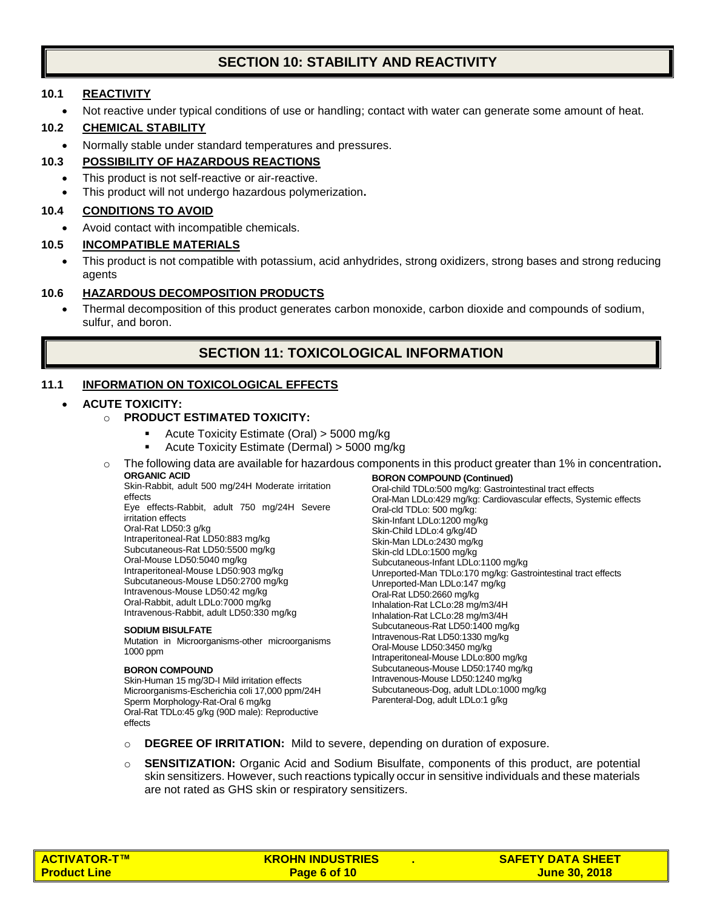# **SECTION 10: STABILITY AND REACTIVITY**

#### **10.1 REACTIVITY**

• Not reactive under typical conditions of use or handling; contact with water can generate some amount of heat.

#### **10.2 CHEMICAL STABILITY**

• Normally stable under standard temperatures and pressures.

#### **10.3 POSSIBILITY OF HAZARDOUS REACTIONS**

- This product is not self-reactive or air-reactive.
- This product will not undergo hazardous polymerization**.**

#### **10.4 CONDITIONS TO AVOID**

• Avoid contact with incompatible chemicals.

#### **10.5 INCOMPATIBLE MATERIALS**

• This product is not compatible with potassium, acid anhydrides, strong oxidizers, strong bases and strong reducing agents

#### **10.6 HAZARDOUS DECOMPOSITION PRODUCTS**

• Thermal decomposition of this product generates carbon monoxide, carbon dioxide and compounds of sodium, sulfur, and boron.

# **SECTION 11: TOXICOLOGICAL INFORMATION**

## **11.1 INFORMATION ON TOXICOLOGICAL EFFECTS**

#### • **ACUTE TOXICITY:**

- o **PRODUCT ESTIMATED TOXICITY:**
	- Acute Toxicity Estimate (Oral) > 5000 mg/kg
	- Acute Toxicity Estimate (Dermal) > 5000 mg/kg
- o The following data are available for hazardous components in this product greater than 1% in concentration**. ORGANIC ACID BORON COMPOUND (Continued)**

Skin-Rabbit, adult 500 mg/24H Moderate irritation effects

Eye effects-Rabbit, adult 750 mg/24H Severe irritation effects Oral-Rat LD50:3 g/kg Intraperitoneal-Rat LD50:883 mg/kg Subcutaneous-Rat LD50:5500 mg/kg Oral-Mouse LD50:5040 mg/kg Intraperitoneal-Mouse LD50:903 mg/kg Subcutaneous-Mouse LD50:2700 mg/kg Intravenous-Mouse LD50:42 mg/kg Oral-Rabbit, adult LDLo:7000 mg/kg Intravenous-Rabbit, adult LD50:330 mg/kg

#### **SODIUM BISULFATE**

Mutation in Microorganisms-other microorganisms 1000 ppm

#### **BORON COMPOUND**

Skin-Human 15 mg/3D-I Mild irritation effects Microorganisms-Escherichia coli 17,000 ppm/24H Sperm Morphology-Rat-Oral 6 mg/kg Oral-Rat TDLo:45 g/kg (90D male): Reproductive effects

Oral-child TDLo:500 mg/kg: Gastrointestinal tract effects Oral-Man LDLo:429 mg/kg: Cardiovascular effects, Systemic effects Oral-cld TDLo: 500 mg/kg: Skin-Infant LDLo:1200 mg/kg Skin-Child LDLo:4 g/kg/4D Skin-Man LDLo:2430 mg/kg Skin-cld LDLo:1500 mg/kg Subcutaneous-Infant LDLo:1100 mg/kg Unreported-Man TDLo:170 mg/kg: Gastrointestinal tract effects Unreported-Man LDLo:147 mg/kg Oral-Rat LD50:2660 mg/kg Inhalation-Rat LCLo:28 mg/m3/4H Inhalation-Rat LCLo:28 mg/m3/4H Subcutaneous-Rat LD50:1400 mg/kg Intravenous-Rat LD50:1330 mg/kg Oral-Mouse LD50:3450 mg/kg Intraperitoneal-Mouse LDLo:800 mg/kg Subcutaneous-Mouse LD50:1740 mg/kg Intravenous-Mouse LD50:1240 mg/kg Subcutaneous-Dog, adult LDLo:1000 mg/kg Parenteral-Dog, adult LDLo:1 g/kg

- o **DEGREE OF IRRITATION:** Mild to severe, depending on duration of exposure.
- o **SENSITIZATION:** Organic Acid and Sodium Bisulfate, components of this product, are potential skin sensitizers. However, such reactions typically occur in sensitive individuals and these materials are not rated as GHS skin or respiratory sensitizers.

| <b>ACTIVATOR-T™</b> | <b>KROHN INDUSTRIES</b> | <b>SAFETY DATA SHEET</b> |
|---------------------|-------------------------|--------------------------|
| <b>Product Line</b> | Page 6 of 10            | <u>June 30, 2018</u>     |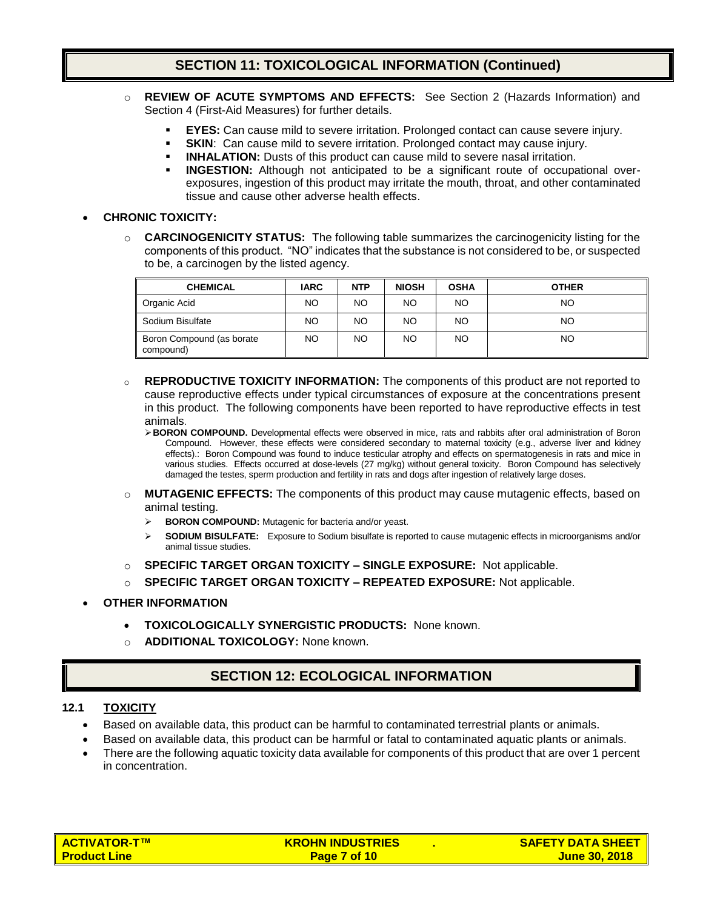# **SECTION 11: TOXICOLOGICAL INFORMATION (Continued)**

- o **REVIEW OF ACUTE SYMPTOMS AND EFFECTS:** See Section 2 (Hazards Information) and Section 4 (First-Aid Measures) for further details.
	- **EYES:** Can cause mild to severe irritation. Prolonged contact can cause severe injury.
	- **SKIN:** Can cause mild to severe irritation. Prolonged contact may cause injury.
	- **INHALATION:** Dusts of this product can cause mild to severe nasal irritation.
	- **INGESTION:** Although not anticipated to be a significant route of occupational overexposures, ingestion of this product may irritate the mouth, throat, and other contaminated tissue and cause other adverse health effects.

#### • **CHRONIC TOXICITY:**

o **CARCINOGENICITY STATUS:** The following table summarizes the carcinogenicity listing for the components of this product. "NO" indicates that the substance is not considered to be, or suspected to be, a carcinogen by the listed agency.

| <b>CHEMICAL</b>                        | <b>IARC</b> | <b>NTP</b> | <b>NIOSH</b> | <b>OSHA</b> | <b>OTHER</b> |
|----------------------------------------|-------------|------------|--------------|-------------|--------------|
| Organic Acid                           | NO.         | NO.        | NO.          | NO.         | NO           |
| Sodium Bisulfate                       | NO.         | NO.        | NO.          | NO.         | NO           |
| Boron Compound (as borate<br>compound) | NO.         | NO.        | NO.          | NO.         | NO           |

- o **REPRODUCTIVE TOXICITY INFORMATION:** The components of this product are not reported to cause reproductive effects under typical circumstances of exposure at the concentrations present in this product. The following components have been reported to have reproductive effects in test animals.
	- ➢**BORON COMPOUND.** Developmental effects were observed in mice, rats and rabbits after oral administration of Boron Compound. However, these effects were considered secondary to maternal toxicity (e.g., adverse liver and kidney effects).: Boron Compound was found to induce testicular atrophy and effects on spermatogenesis in rats and mice in various studies. Effects occurred at dose-levels (27 mg/kg) without general toxicity. Boron Compound has selectively damaged the testes, sperm production and fertility in rats and dogs after ingestion of relatively large doses.
- o **MUTAGENIC EFFECTS:** The components of this product may cause mutagenic effects, based on animal testing.
	- ➢ **BORON COMPOUND:** Mutagenic for bacteria and/or yeast.
	- ➢ **SODIUM BISULFATE:** Exposure to Sodium bisulfate is reported to cause mutagenic effects in microorganisms and/or animal tissue studies.
- o **SPECIFIC TARGET ORGAN TOXICITY – SINGLE EXPOSURE:** Not applicable.
- o **SPECIFIC TARGET ORGAN TOXICITY – REPEATED EXPOSURE:** Not applicable.
- **OTHER INFORMATION**
	- **TOXICOLOGICALLY SYNERGISTIC PRODUCTS:** None known.
	- **ADDITIONAL TOXICOLOGY:** None known.

# **SECTION 12: ECOLOGICAL INFORMATION**

#### **12.1 TOXICITY**

- Based on available data, this product can be harmful to contaminated terrestrial plants or animals.
- Based on available data, this product can be harmful or fatal to contaminated aquatic plants or animals.
- There are the following aquatic toxicity data available for components of this product that are over 1 percent in concentration.

| <b>ACTIVATOR-T™</b>    | <b>KROHN INDUSTRIES</b> | <b>SAFETY DATA SHEET</b> |
|------------------------|-------------------------|--------------------------|
| <u>l Product Line </u> | Page 7 of 10            | <u>June 30, 2018  </u>   |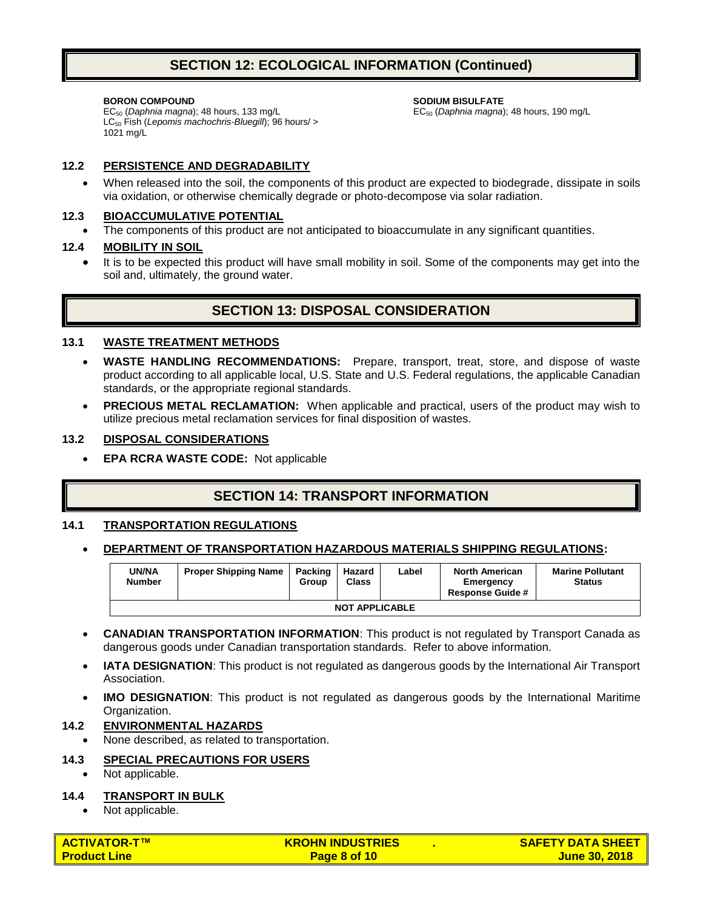# **SECTION 12: ECOLOGICAL INFORMATION (Continued)**

#### **BORON COMPOUND**

**SODIUM BISULFATE**

EC<sup>50</sup> (*Daphnia magna*); 48 hours, 190 mg/L

EC<sup>50</sup> (*Daphnia magna*); 48 hours, 133 mg/L LC<sub>50</sub> Fish (Lepomis machochris-Bluegill); 96 hours/ > 1021 mg/L

#### **12.2 PERSISTENCE AND DEGRADABILITY**

• When released into the soil, the components of this product are expected to biodegrade, dissipate in soils via oxidation, or otherwise chemically degrade or photo-decompose via solar radiation.

#### **12.3 BIOACCUMULATIVE POTENTIAL**

The components of this product are not anticipated to bioaccumulate in any significant quantities.

#### **12.4 MOBILITY IN SOIL**

• It is to be expected this product will have small mobility in soil. Some of the components may get into the soil and, ultimately, the ground water.

# **SECTION 13: DISPOSAL CONSIDERATION**

#### **13.1 WASTE TREATMENT METHODS**

- **WASTE HANDLING RECOMMENDATIONS:** Prepare, transport, treat, store, and dispose of waste product according to all applicable local, U.S. State and U.S. Federal regulations, the applicable Canadian standards, or the appropriate regional standards.
- **PRECIOUS METAL RECLAMATION:** When applicable and practical, users of the product may wish to utilize precious metal reclamation services for final disposition of wastes.

#### **13.2 DISPOSAL CONSIDERATIONS**

• **EPA RCRA WASTE CODE:** Not applicable

# **SECTION 14: TRANSPORT INFORMATION**

#### **14.1 TRANSPORTATION REGULATIONS**

#### • **DEPARTMENT OF TRANSPORTATION HAZARDOUS MATERIALS SHIPPING REGULATIONS:**

| <b>JN/NA</b><br>Number | <b>Proper Shipping Name</b> | Packing<br>Group | Hazard<br><b>Class</b> | Label | <b>North American</b><br>Emergency<br><b>Response Guide #</b> | <b>Marine Pollutant</b><br><b>Status</b> |
|------------------------|-----------------------------|------------------|------------------------|-------|---------------------------------------------------------------|------------------------------------------|
| <b>NOT APPLICABLE</b>  |                             |                  |                        |       |                                                               |                                          |

- **CANADIAN TRANSPORTATION INFORMATION**: This product is not regulated by Transport Canada as dangerous goods under Canadian transportation standards. Refer to above information.
- **IATA DESIGNATION**: This product is not regulated as dangerous goods by the International Air Transport Association.
- **IMO DESIGNATION:** This product is not regulated as dangerous goods by the International Maritime Organization.

#### **14.2 ENVIRONMENTAL HAZARDS**

• None described, as related to transportation.

#### **14.3 SPECIAL PRECAUTIONS FOR USERS**

• Not applicable.

#### **14.4 TRANSPORT IN BULK**

• Not applicable.

| <b>ACTIVATOR-T™</b> | <b>KROHN INDUSTRIES</b> | <b>SAFETY DATA SHEET I</b> |
|---------------------|-------------------------|----------------------------|
| <b>Product Line</b> | Page 8 of 10            | <b>June 30, 2018</b>       |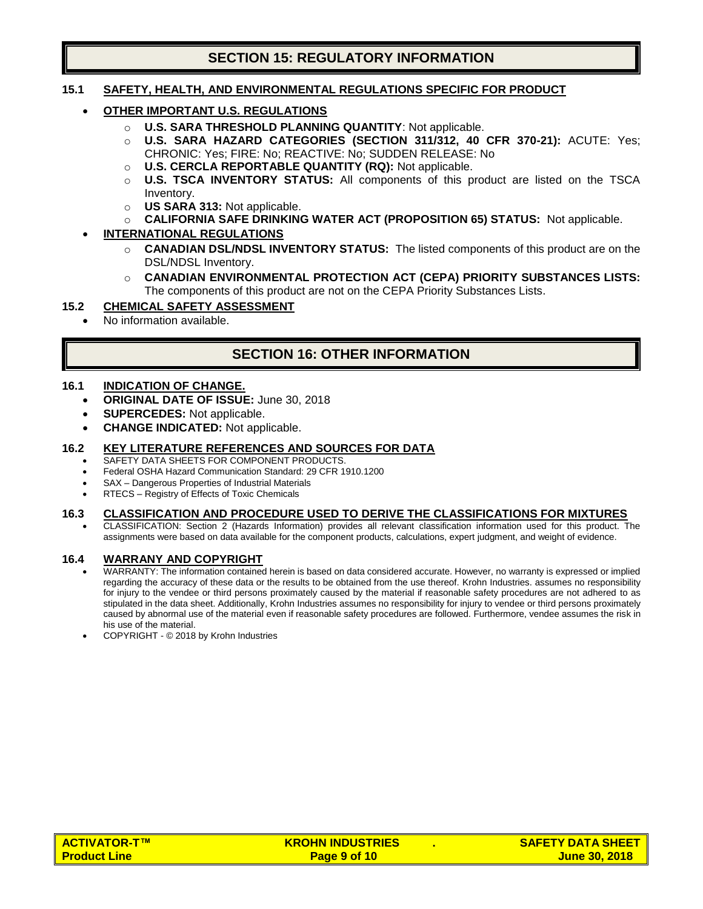# **SECTION 15: REGULATORY INFORMATION**

#### **15.1 SAFETY, HEALTH, AND ENVIRONMENTAL REGULATIONS SPECIFIC FOR PRODUCT**

- **OTHER IMPORTANT U.S. REGULATIONS**
	- o **U.S. SARA THRESHOLD PLANNING QUANTITY**: Not applicable.
	- o **U.S. SARA HAZARD CATEGORIES (SECTION 311/312, 40 CFR 370-21):** ACUTE: Yes; CHRONIC: Yes; FIRE: No; REACTIVE: No; SUDDEN RELEASE: No
	- o **U.S. CERCLA REPORTABLE QUANTITY (RQ):** Not applicable.
	- o **U.S. TSCA INVENTORY STATUS:** All components of this product are listed on the TSCA Inventory.
	- o **US SARA 313:** Not applicable.
	- o **CALIFORNIA SAFE DRINKING WATER ACT (PROPOSITION 65) STATUS:** Not applicable.

#### • **INTERNATIONAL REGULATIONS**

- o **CANADIAN DSL/NDSL INVENTORY STATUS:** The listed components of this product are on the DSL/NDSL Inventory.
- o **CANADIAN ENVIRONMENTAL PROTECTION ACT (CEPA) PRIORITY SUBSTANCES LISTS:**  The components of this product are not on the CEPA Priority Substances Lists.

#### **15.2 CHEMICAL SAFETY ASSESSMENT**

• No information available.

# **SECTION 16: OTHER INFORMATION**

#### **16.1 INDICATION OF CHANGE.**

- **ORIGINAL DATE OF ISSUE:** June 30, 2018
- **SUPERCEDES:** Not applicable.
- **CHANGE INDICATED:** Not applicable.

#### **16.2 KEY LITERATURE REFERENCES AND SOURCES FOR DATA**

- SAFETY DATA SHEETS FOR COMPONENT PRODUCTS.
- Federal OSHA Hazard Communication Standard: 29 CFR 1910.1200
- SAX Dangerous Properties of Industrial Materials
- RTECS Registry of Effects of Toxic Chemicals

#### **16.3 CLASSIFICATION AND PROCEDURE USED TO DERIVE THE CLASSIFICATIONS FOR MIXTURES**

• CLASSIFICATION: Section 2 (Hazards Information) provides all relevant classification information used for this product. The assignments were based on data available for the component products, calculations, expert judgment, and weight of evidence.

#### **16.4 WARRANY AND COPYRIGHT**

- WARRANTY: The information contained herein is based on data considered accurate. However, no warranty is expressed or implied regarding the accuracy of these data or the results to be obtained from the use thereof. Krohn Industries. assumes no responsibility for injury to the vendee or third persons proximately caused by the material if reasonable safety procedures are not adhered to as stipulated in the data sheet. Additionally, Krohn Industries assumes no responsibility for injury to vendee or third persons proximately caused by abnormal use of the material even if reasonable safety procedures are followed. Furthermore, vendee assumes the risk in his use of the material.
- COPYRIGHT © 2018 by Krohn Industries

| <b>ACTIVATOR-T™</b> | <b>KROHN INDUSTRIES</b> | <b>SAFETY DATA SHEET I</b> |
|---------------------|-------------------------|----------------------------|
| <b>Product Line</b> | Page 9 of 10            | <b>June 30, 2018</b>       |